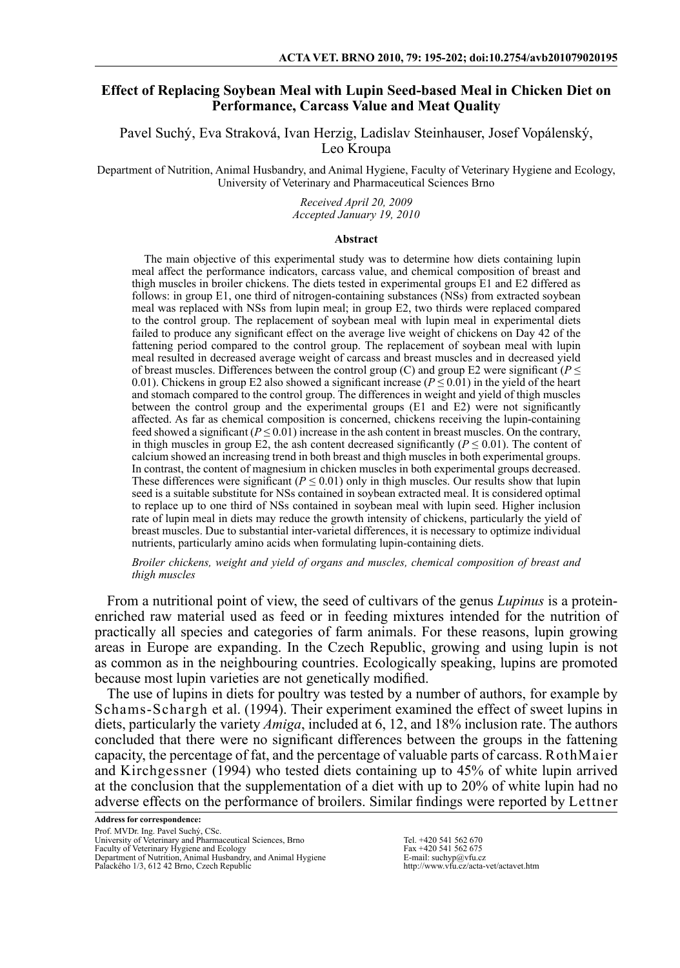# **Effect of Replacing Soybean Meal with Lupin Seed-based Meal in Chicken Diet on Performance, Carcass Value and Meat Quality**

Pavel Suchý, Eva Straková, Ivan Herzig, Ladislav Steinhauser, Josef Vopálenský, Leo Kroupa

Department of Nutrition, Animal Husbandry, and Animal Hygiene, Faculty of Veterinary Hygiene and Ecology, University of Veterinary and Pharmaceutical Sciences Brno

> *Received April 20, 2009 Accepted January 19, 2010*

#### **Abstract**

The main objective of this experimental study was to determine how diets containing lupin meal affect the performance indicators, carcass value, and chemical composition of breast and thigh muscles in broiler chickens. The diets tested in experimental groups E1 and E2 differed as follows: in group E1, one third of nitrogen-containing substances (NSs) from extracted soybean meal was replaced with NSs from lupin meal; in group E2, two thirds were replaced compared to the control group. The replacement of soybean meal with lupin meal in experimental diets failed to produce any significant effect on the average live weight of chickens on Day 42 of the fattening period compared to the control group. The replacement of soybean meal with lupin meal resulted in decreased average weight of carcass and breast muscles and in decreased yield of breast muscles. Differences between the control group (C) and group E2 were significant ( $P \leq$ 0.01). Chickens in group E2 also showed a significant increase ( $P \le 0.01$ ) in the yield of the heart and stomach compared to the control group. The differences in weight and yield of thigh muscles between the control group and the experimental groups (E1 and E2) were not significantly affected. As far as chemical composition is concerned, chickens receiving the lupin-containing feed showed a significant  $(P \le 0.01)$  increase in the ash content in breast muscles. On the contrary, in thigh muscles in group  $E2$ , the ash content decreased significantly ( $P \le 0.01$ ). The content of calcium showed an increasing trend in both breast and thigh muscles in both experimental groups. In contrast, the content of magnesium in chicken muscles in both experimental groups decreased. These differences were significant ( $P \le 0.01$ ) only in thigh muscles. Our results show that lupin seed is a suitable substitute for NSs contained in soybean extracted meal. It is considered optimal to replace up to one third of NSs contained in soybean meal with lupin seed. Higher inclusion rate of lupin meal in diets may reduce the growth intensity of chickens, particularly the yield of breast muscles. Due to substantial inter-varietal differences, it is necessary to optimize individual nutrients, particularly amino acids when formulating lupin-containing diets.

*Broiler chickens, weight and yield of organs and muscles, chemical composition of breast and thigh muscles*

From a nutritional point of view, the seed of cultivars of the genus *Lupinus* is a proteinenriched raw material used as feed or in feeding mixtures intended for the nutrition of practically all species and categories of farm animals. For these reasons, lupin growing areas in Europe are expanding. In the Czech Republic, growing and using lupin is not as common as in the neighbouring countries. Ecologically speaking, lupins are promoted because most lupin varieties are not genetically modified.

The use of lupins in diets for poultry was tested by a number of authors, for example by Schams-Schargh et al. (1994). Their experiment examined the effect of sweet lupins in diets, particularly the variety *Amiga*, included at 6, 12, and 18% inclusion rate. The authors concluded that there were no significant differences between the groups in the fattening capacity, the percentage of fat, and the percentage of valuable parts of carcass. RothMaier and Kirchgessner (1994) who tested diets containing up to 45% of white lupin arrived at the conclusion that the supplementation of a diet with up to 20% of white lupin had no adverse effects on the performance of broilers. Similar findings were reported by Lettner

**Address for correspondence:** Prof. MVDr. Ing. Pavel Suchý, CSc. University of Veterinary and Pharmaceutical Sciences, Brno Faculty of Veterinary Hygiene and Ecology Department of Nutrition, Animal Husbandry, and Animal Hygiene Palackého 1/3, 612 42 Brno, Czech Republic

Tel. +420 541 562 670 Fax +420 541 562 675 E-mail:  $\text{suchyp}(a)$ vfu.cz http://www.vfu.cz/acta-vet/actavet.htm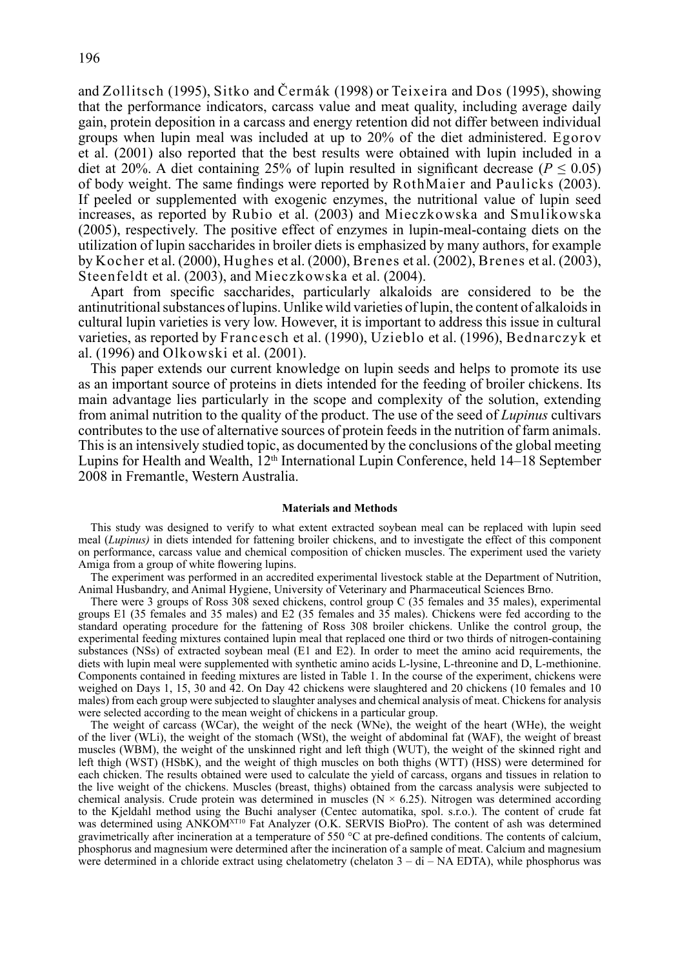and Zollitsch (1995), Sitko and Čermák (1998) or Teixeira and Dos (1995), showing that the performance indicators, carcass value and meat quality, including average daily gain, protein deposition in a carcass and energy retention did not differ between individual groups when lupin meal was included at up to 20% of the diet administered. Egorov et al. (2001) also reported that the best results were obtained with lupin included in a diet at 20%. A diet containing 25% of lupin resulted in significant decrease ( $P \le 0.05$ ) of body weight. The same findings were reported by RothMaier and Paulicks (2003). If peeled or supplemented with exogenic enzymes, the nutritional value of lupin seed increases, as reported by Rubio et al. (2003) and Mieczkowska and Smulikowska (2005), respectively. The positive effect of enzymes in lupin-meal-containg diets on the utilization of lupin saccharides in broiler diets is emphasized by many authors, for example by Kocher et al. (2000), Hughes et al. (2000), Brenes et al. (2002), Brenes et al. (2003), Steenfeldt et al. (2003), and Mieczkowska et al. (2004).

Apart from specific saccharides, particularly alkaloids are considered to be the antinutritional substances of lupins. Unlike wild varieties of lupin, the content of alkaloids in cultural lupin varieties is very low. However, it is important to address this issue in cultural varieties, as reported by Francesch et al. (1990), Uzieblo et al. (1996), Bednarczyk et al. (1996) and Olkowski et al. (2001).

This paper extends our current knowledge on lupin seeds and helps to promote its use as an important source of proteins in diets intended for the feeding of broiler chickens. Its main advantage lies particularly in the scope and complexity of the solution, extending from animal nutrition to the quality of the product. The use of the seed of *Lupinus* cultivars contributes to the use of alternative sources of protein feeds in the nutrition of farm animals. This is an intensively studied topic, as documented by the conclusions of the global meeting Lupins for Health and Wealth,  $12<sup>th</sup>$  International Lupin Conference, held  $14-18$  September 2008 in Fremantle, Western Australia.

#### **Materials and Methods**

This study was designed to verify to what extent extracted soybean meal can be replaced with lupin seed meal (*Lupinus)* in diets intended for fattening broiler chickens, and to investigate the effect of this component on performance, carcass value and chemical composition of chicken muscles. The experiment used the variety Amiga from a group of white flowering lupins.

The experiment was performed in an accredited experimental livestock stable at the Department of Nutrition, Animal Husbandry, and Animal Hygiene, University of Veterinary and Pharmaceutical Sciences Brno.

There were 3 groups of Ross 308 sexed chickens, control group C (35 females and 35 males), experimental groups E1 (35 females and 35 males) and E2 (35 females and 35 males). Chickens were fed according to the standard operating procedure for the fattening of Ross 308 broiler chickens. Unlike the control group, the experimental feeding mixtures contained lupin meal that replaced one third or two thirds of nitrogen-containing substances (NSs) of extracted soybean meal (E1 and E2). In order to meet the amino acid requirements, the diets with lupin meal were supplemented with synthetic amino acids L-lysine, L-threonine and D, L-methionine. Components contained in feeding mixtures are listed in Table 1. In the course of the experiment, chickens were weighed on Days 1, 15, 30 and  $\overline{4}2$ . On Day 42 chickens were slaughtered and 20 chickens (10 females and 10 males) from each group were subjected to slaughter analyses and chemical analysis of meat. Chickens for analysis were selected according to the mean weight of chickens in a particular group.

The weight of carcass (WCar), the weight of the neck (WNe), the weight of the heart (WHe), the weight of the liver (WLi), the weight of the stomach (WSt), the weight of abdominal fat (WAF), the weight of breast muscles (WBM), the weight of the unskinned right and left thigh (WUT), the weight of the skinned right and left thigh (WST) (HSbK), and the weight of thigh muscles on both thighs (WTT) (HSS) were determined for each chicken. The results obtained were used to calculate the yield of carcass, organs and tissues in relation to the live weight of the chickens. Muscles (breast, thighs) obtained from the carcass analysis were subjected to chemical analysis. Crude protein was determined in muscles ( $N \times 6.25$ ). Nitrogen was determined according to the Kjeldahl method using the Buchi analyser (Centec automatika, spol. s.r.o.). The content of crude fat was determined using ANKOM<sup>XT10</sup> Fat Analyzer (O.K. SERVIS BioPro). The content of ash was determined gravimetrically after incineration at a temperature of 550 °C at pre-defined conditions. The contents of calcium, phosphorus and magnesium were determined after the incineration of a sample of meat. Calcium and magnesium were determined in a chloride extract using chelatometry (chelaton  $3 - di - NA EDTA$ ), while phosphorus was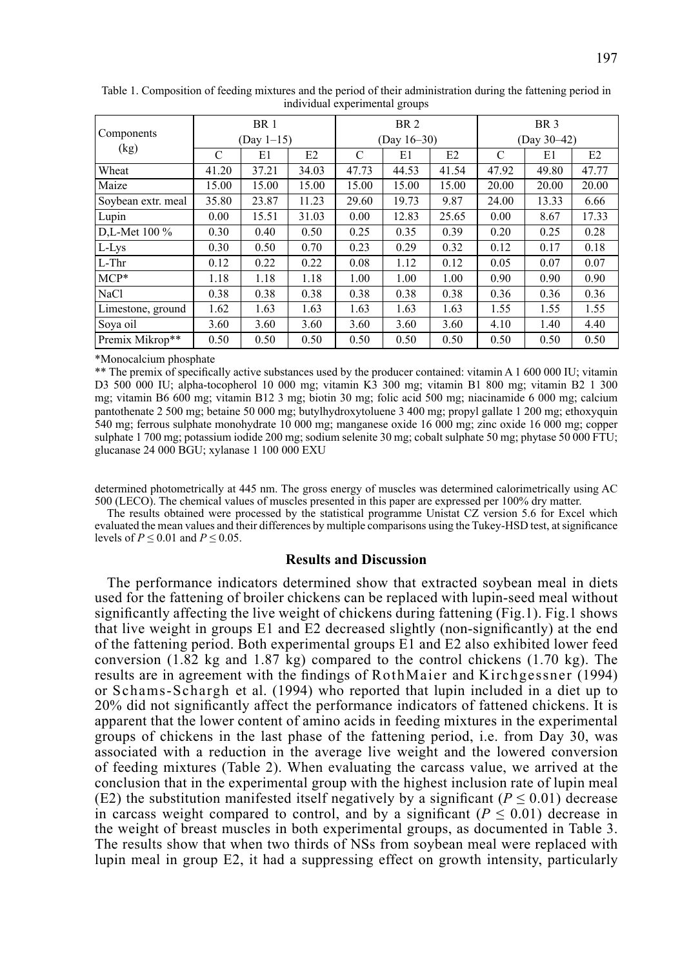| Components         | <b>BR</b> 1<br>$(Day 1-15)$ |       |       | BR <sub>2</sub> |       |       | BR <sub>3</sub><br>(Day 30-42) |       |                |
|--------------------|-----------------------------|-------|-------|-----------------|-------|-------|--------------------------------|-------|----------------|
| (kg)               |                             |       |       | $(Dav 16-30)$   |       |       |                                |       |                |
|                    | C                           | E1    | E2    | C               | E1    | E2    | C                              | E1    | E <sub>2</sub> |
| Wheat              | 41.20                       | 37.21 | 34.03 | 47.73           | 44.53 | 41.54 | 47.92                          | 49.80 | 47.77          |
| Maize              | 15.00                       | 15.00 | 15.00 | 15.00           | 15.00 | 15.00 | 20.00                          | 20.00 | 20.00          |
| Soybean extr. meal | 35.80                       | 23.87 | 11.23 | 29.60           | 19.73 | 9.87  | 24.00                          | 13.33 | 6.66           |
| Lupin              | 0.00                        | 15.51 | 31.03 | 0.00            | 12.83 | 25.65 | 0.00                           | 8.67  | 17.33          |
| D.L-Met 100 %      | 0.30                        | 0.40  | 0.50  | 0.25            | 0.35  | 0.39  | 0.20                           | 0.25  | 0.28           |
| L-Lys              | 0.30                        | 0.50  | 0.70  | 0.23            | 0.29  | 0.32  | 0.12                           | 0.17  | 0.18           |
| $L$ -Thr           | 0.12                        | 0.22  | 0.22  | 0.08            | 1.12  | 0.12  | 0.05                           | 0.07  | 0.07           |
| $MCP*$             | 1.18                        | 1.18  | 1.18  | 1.00            | 1.00  | 1.00  | 0.90                           | 0.90  | 0.90           |
| <b>NaCl</b>        | 0.38                        | 0.38  | 0.38  | 0.38            | 0.38  | 0.38  | 0.36                           | 0.36  | 0.36           |
| Limestone, ground  | 1.62                        | 1.63  | 1.63  | 1.63            | 1.63  | 1.63  | 1.55                           | 1.55  | 1.55           |
| Sova oil           | 3.60                        | 3.60  | 3.60  | 3.60            | 3.60  | 3.60  | 4.10                           | 1.40  | 4.40           |
| Premix Mikrop**    | 0.50                        | 0.50  | 0.50  | 0.50            | 0.50  | 0.50  | 0.50                           | 0.50  | 0.50           |

Table 1. Composition of feeding mixtures and the period of their administration during the fattening period in individual experimental groups

\*Monocalcium phosphate

\*\* The premix of specifically active substances used by the producer contained: vitamin A 1 600 000 IU; vitamin D3 500 000 IU; alpha-tocopherol 10 000 mg; vitamin K3 300 mg; vitamin B1 800 mg; vitamin B2 1 300 mg; vitamin B6 600 mg; vitamin B12 3 mg; biotin 30 mg; folic acid 500 mg; niacinamide 6 000 mg; calcium pantothenate 2 500 mg; betaine 50 000 mg; butylhydroxytoluene 3 400 mg; propyl gallate 1 200 mg; ethoxyquin 540 mg; ferrous sulphate monohydrate 10 000 mg; manganese oxide 16 000 mg; zinc oxide 16 000 mg; copper sulphate 1 700 mg; potassium iodide 200 mg; sodium selenite 30 mg; cobalt sulphate 50 mg; phytase 50 000 FTU; glucanase 24 000 BGU; xylanase 1 100 000 EXU

determined photometrically at 445 nm. The gross energy of muscles was determined calorimetrically using AC 500 (LECO). The chemical values of muscles presented in this paper are expressed per 100% dry matter.

The results obtained were processed by the statistical programme Unistat CZ version 5.6 for Excel which evaluated the mean values and their differences by multiple comparisons using the Tukey-HSD test, at significance levels of  $P \le 0.01$  and  $P \le 0.05$ .

## **Results and Discussion**

The performance indicators determined show that extracted soybean meal in diets used for the fattening of broiler chickens can be replaced with lupin-seed meal without significantly affecting the live weight of chickens during fattening (Fig.1). Fig.1 shows that live weight in groups E1 and E2 decreased slightly (non-significantly) at the end of the fattening period. Both experimental groups E1 and E2 also exhibited lower feed conversion (1.82 kg and 1.87 kg) compared to the control chickens (1.70 kg). The results are in agreement with the findings of RothMaier and Kirchgessner (1994) or Schams-Schargh et al. (1994) who reported that lupin included in a diet up to 20% did not significantly affect the performance indicators of fattened chickens. It is apparent that the lower content of amino acids in feeding mixtures in the experimental groups of chickens in the last phase of the fattening period, i.e. from Day 30, was associated with a reduction in the average live weight and the lowered conversion of feeding mixtures (Table 2). When evaluating the carcass value, we arrived at the conclusion that in the experimental group with the highest inclusion rate of lupin meal (E2) the substitution manifested itself negatively by a significant ( $P \le 0.01$ ) decrease in carcass weight compared to control, and by a significant  $(P \le 0.01)$  decrease in the weight of breast muscles in both experimental groups, as documented in Table 3. The results show that when two thirds of NSs from soybean meal were replaced with lupin meal in group E2, it had a suppressing effect on growth intensity, particularly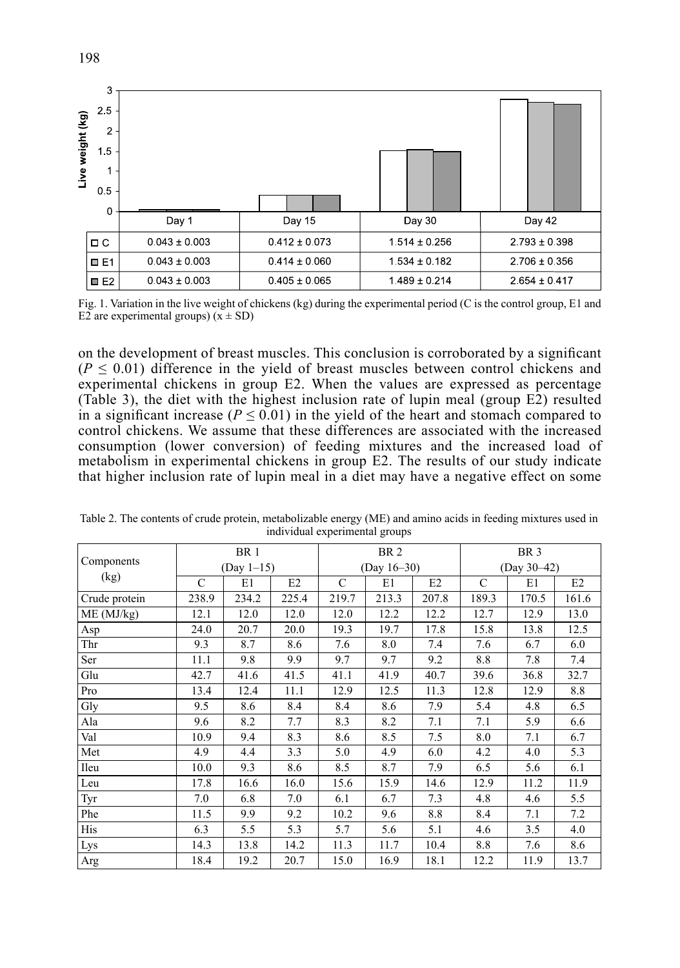| Live weight (kg) | 3<br>$2.5 -$<br>$\overline{2}$<br>1.5<br>0 <sub>5</sub><br>$\mathbf 0$ |                                        |                   |                   |                   |  |
|------------------|------------------------------------------------------------------------|----------------------------------------|-------------------|-------------------|-------------------|--|
|                  |                                                                        | Day 1                                  | Day 15            | Day 30            | Day 42            |  |
|                  | $\Box C$                                                               | $0.043 \pm 0.003$<br>$0.412 \pm 0.073$ |                   | $1.514 \pm 0.256$ | $2.793 \pm 0.398$ |  |
|                  | $\Box$ E1                                                              | $0.043 \pm 0.003$                      | $0.414 \pm 0.060$ | $1.534 \pm 0.182$ | $2.706 \pm 0.356$ |  |
|                  | $\blacksquare$ E2                                                      | $0.043 \pm 0.003$<br>$0.405 \pm 0.065$ |                   | $1.489 \pm 0.214$ | $2.654 \pm 0.417$ |  |

Fig. 1. Variation in the live weight of chickens (kg) during the experimental period (C is the control group, E1 and E2 are experimental groups)  $(x \pm SD)$ 

on the development of breast muscles. This conclusion is corroborated by a significant  $(P \le 0.01)$  difference in the yield of breast muscles between control chickens and experimental chickens in group E2. When the values are expressed as percentage (Table 3), the diet with the highest inclusion rate of lupin meal (group E2) resulted in a significant increase ( $P \le 0.01$ ) in the yield of the heart and stomach compared to control chickens. We assume that these differences are associated with the increased consumption (lower conversion) of feeding mixtures and the increased load of metabolism in experimental chickens in group E2. The results of our study indicate that higher inclusion rate of lupin meal in a diet may have a negative effect on some

|               | BR <sub>1</sub> |       |       | BR <sub>2</sub> |       |       | BR <sub>3</sub> |       |       |
|---------------|-----------------|-------|-------|-----------------|-------|-------|-----------------|-------|-------|
| Components    | $(Dav 1-15)$    |       |       | (Day $16-30$ )  |       |       | $(Dav 30-42)$   |       |       |
| (kg)          | C               | E1    | E2    | C               | E1    | E2    | C               | E1    | E2    |
| Crude protein | 238.9           | 234.2 | 225.4 | 219.7           | 213.3 | 207.8 | 189.3           | 170.5 | 161.6 |
| ME (MJ/kg)    | 12.1            | 12.0  | 12.0  | 12.0            | 12.2  | 12.2  | 12.7            | 12.9  | 13.0  |
| Asp           | 24.0            | 20.7  | 20.0  | 19.3            | 19.7  | 17.8  | 15.8            | 13.8  | 12.5  |
| Thr           | 9.3             | 8.7   | 8.6   | 7.6             | 8.0   | 7.4   | 7.6             | 6.7   | 6.0   |
| Ser           | 11.1            | 9.8   | 9.9   | 9.7             | 9.7   | 9.2   | 8.8             | 7.8   | 7.4   |
| Glu           | 42.7            | 41.6  | 41.5  | 41.1            | 41.9  | 40.7  | 39.6            | 36.8  | 32.7  |
| Pro           | 13.4            | 12.4  | 11.1  | 12.9            | 12.5  | 11.3  | 12.8            | 12.9  | 8.8   |
| Gly           | 9.5             | 8.6   | 8.4   | 8.4             | 8.6   | 7.9   | 5.4             | 4.8   | 6.5   |
| Ala           | 9.6             | 8.2   | 7.7   | 8.3             | 8.2   | 7.1   | 7.1             | 5.9   | 6.6   |
| Val           | 10.9            | 9.4   | 8.3   | 8.6             | 8.5   | 7.5   | 8.0             | 7.1   | 6.7   |
| Met           | 4.9             | 4.4   | 3.3   | 5.0             | 4.9   | 6.0   | 4.2             | 4.0   | 5.3   |
| Ileu          | 10.0            | 9.3   | 8.6   | 8.5             | 8.7   | 7.9   | 6.5             | 5.6   | 6.1   |
| Leu           | 17.8            | 16.6  | 16.0  | 15.6            | 15.9  | 14.6  | 12.9            | 11.2  | 11.9  |
| Tyr           | 7.0             | 6.8   | 7.0   | 6.1             | 6.7   | 7.3   | 4.8             | 4.6   | 5.5   |
| Phe           | 11.5            | 9.9   | 9.2   | 10.2            | 9.6   | 8.8   | 8.4             | 7.1   | 7.2   |
| His           | 6.3             | 5.5   | 5.3   | 5.7             | 5.6   | 5.1   | 4.6             | 3.5   | 4.0   |
| Lys           | 14.3            | 13.8  | 14.2  | 11.3            | 11.7  | 10.4  | 8.8             | 7.6   | 8.6   |
| Arg           | 18.4            | 19.2  | 20.7  | 15.0            | 16.9  | 18.1  | 12.2            | 11.9  | 13.7  |

Table 2. The contents of crude protein, metabolizable energy (ME) and amino acids in feeding mixtures used in individual experimental groups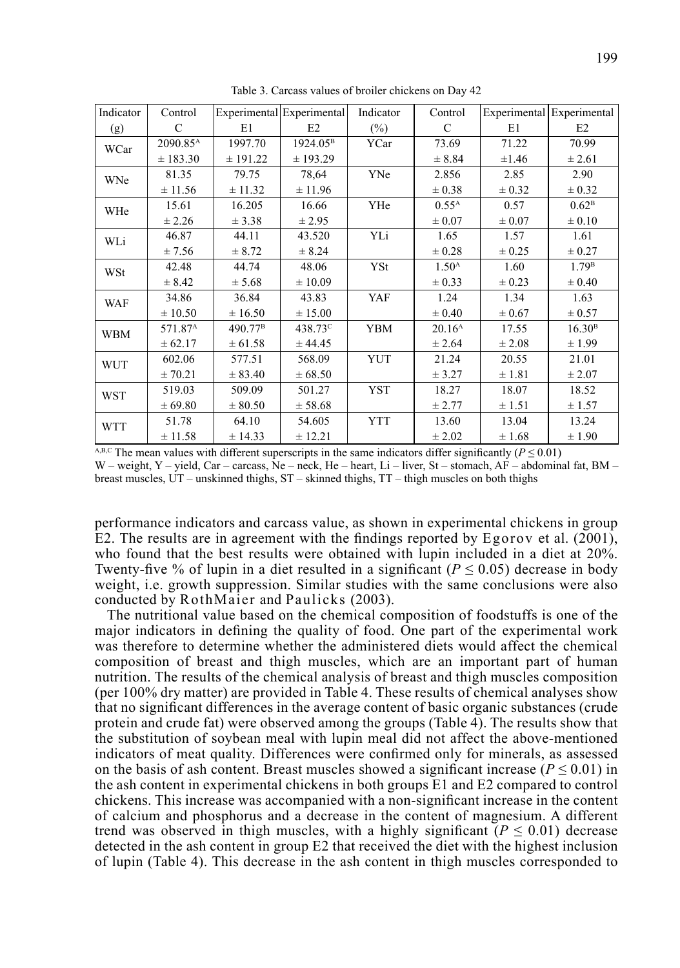| Indicator  | Control              |                     | Experimental Experimental | Indicator  | Control            |            | Experimental Experimental |
|------------|----------------------|---------------------|---------------------------|------------|--------------------|------------|---------------------------|
| (g)        | C                    | E1                  | E2                        | $(\%)$     | C                  | E1         | E2                        |
| WCar       | 2090.85 <sup>A</sup> | 1997.70             | 1924.05 <sup>B</sup>      | YCar       | 73.69              | 71.22      | 70.99                     |
|            | ± 183.30             | ± 191.22            | ± 193.29                  |            | ± 8.84             | $\pm 1.46$ | ± 2.61                    |
| WNe        | 81.35                | 79.75               | 78,64                     | YNe        | 2.856              | 2.85       | 2.90                      |
|            | ± 11.56              | ± 11.32             | ± 11.96                   |            | $\pm 0.38$         | $\pm 0.32$ | $\pm 0.32$                |
| WHe        | 15.61                | 16.205              | 16.66                     | YHe        | $0.55^{\rm A}$     | 0.57       | 0.62 <sup>B</sup>         |
|            | ± 2.26               | ± 3.38              | ± 2.95                    |            | $\pm 0.07$         | $\pm 0.07$ | $\pm 0.10$                |
| WLi        | 46.87                | 44.11               | 43.520                    | YLi        | 1.65               | 1.57       | 1.61                      |
|            | ± 7.56               | ± 8.72              | ± 8.24                    |            | $\pm 0.28$         | ± 0.25     | ± 0.27                    |
| WSt        | 42.48                | 44.74               | 48.06                     | YSt        | 1.50 <sup>A</sup>  | 1.60       | 1.79 <sup>B</sup>         |
|            | ± 8.42               | ± 5.68              | ± 10.09                   |            | $\pm 0.33$         | ± 0.23     | $\pm 0.40$                |
| <b>WAF</b> | 34.86                | 36.84               | 43.83                     | YAF        | 1.24               | 1.34       | 1.63                      |
|            | ± 10.50              | ± 16.50             | ± 15.00                   |            | $\pm 0.40$         | $\pm 0.67$ | ± 0.57                    |
| <b>WBM</b> | 571.87 <sup>A</sup>  | 490.77 <sup>B</sup> | 438.73 <sup>c</sup>       | <b>YBM</b> | 20.16 <sup>A</sup> | 17.55      | 16.30 <sup>B</sup>        |
|            | ± 62.17              | ± 61.58             | ± 44.45                   |            | ± 2.64             | $\pm 2.08$ | ± 1.99                    |
| <b>WUT</b> | 602.06               | 577.51              | 568.09                    | <b>YUT</b> | 21.24              | 20.55      | 21.01                     |
|            | ± 70.21              | ± 83.40             | ± 68.50                   |            | ± 3.27             | ± 1.81     | ± 2.07                    |
| <b>WST</b> | 519.03               | 509.09              | 501.27                    | <b>YST</b> | 18.27              | 18.07      | 18.52                     |
|            | ± 69.80              | ± 80.50             | ± 58.68                   |            | ± 2.77             | ± 1.51     | ± 1.57                    |
| <b>WTT</b> | 51.78                | 64.10               | 54.605                    | <b>YTT</b> | 13.60              | 13.04      | 13.24                     |
|            | ± 11.58              | ± 14.33             | ± 12.21                   |            | ± 2.02             | ± 1.68     | ± 1.90                    |

Table 3. Carcass values of broiler chickens on Day 42

A,B,C The mean values with different superscripts in the same indicators differ significantly ( $P \le 0.01$ ) W – weight, Y – yield, Car – carcass, Ne – neck, He – heart, Li – liver, St – stomach, AF – abdominal fat, BM – breast muscles, UT – unskinned thighs, ST – skinned thighs, TT – thigh muscles on both thighs

performance indicators and carcass value, as shown in experimental chickens in group E2. The results are in agreement with the findings reported by Egorov et al. (2001), who found that the best results were obtained with lupin included in a diet at 20%. Twenty-five % of lupin in a diet resulted in a significant ( $P \le 0.05$ ) decrease in body weight, i.e. growth suppression. Similar studies with the same conclusions were also conducted by RothMaier and Paulicks (2003).

The nutritional value based on the chemical composition of foodstuffs is one of the major indicators in defining the quality of food. One part of the experimental work was therefore to determine whether the administered diets would affect the chemical composition of breast and thigh muscles, which are an important part of human nutrition. The results of the chemical analysis of breast and thigh muscles composition (per 100% dry matter) are provided in Table 4. These results of chemical analyses show that no significant differences in the average content of basic organic substances (crude protein and crude fat) were observed among the groups (Table 4). The results show that the substitution of soybean meal with lupin meal did not affect the above-mentioned indicators of meat quality. Differences were confirmed only for minerals, as assessed on the basis of ash content. Breast muscles showed a significant increase ( $P \le 0.01$ ) in the ash content in experimental chickens in both groups E1 and E2 compared to control chickens. This increase was accompanied with a non-significant increase in the content of calcium and phosphorus and a decrease in the content of magnesium. A different trend was observed in thigh muscles, with a highly significant  $(P \le 0.01)$  decrease detected in the ash content in group E2 that received the diet with the highest inclusion of lupin (Table 4). This decrease in the ash content in thigh muscles corresponded to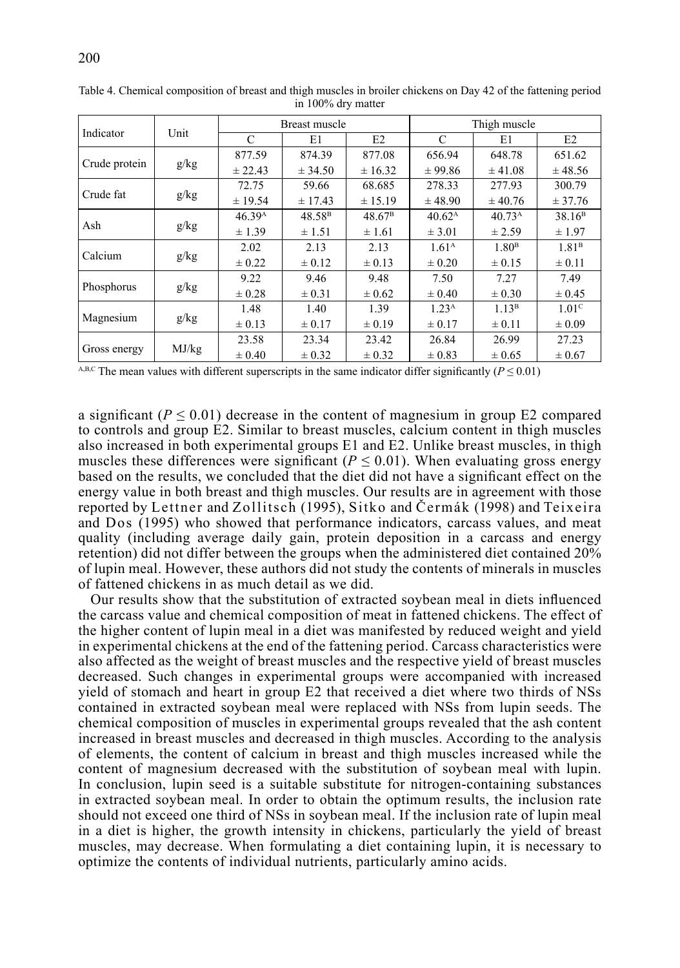|               |       |                    | Breast muscle      |                    | Thigh muscle       |                    |                    |  |
|---------------|-------|--------------------|--------------------|--------------------|--------------------|--------------------|--------------------|--|
| Indicator     | Unit  | C                  | E1                 | E2                 | C                  | E1                 | E2                 |  |
| Crude protein | g/kg  | 877.59             | 874.39             | 877.08             | 656.94             | 648.78             | 651.62             |  |
|               |       | ± 22.43            | ± 34.50            | ± 16.32            | ± 99.86            | ± 41.08            | ± 48.56            |  |
| Crude fat     |       | 72.75              | 59.66              | 68.685             | 278.33             | 277.93             | 300.79             |  |
|               | g/kg  | ± 19.54            | ± 17.43            | ± 15.19            | ± 48.90            | ± 40.76            | ± 37.76            |  |
| Ash           | g/kg  | 46.39 <sup>A</sup> | 48.58 <sup>B</sup> | 48.67 <sup>B</sup> | 40.62 <sup>A</sup> | 40.73 <sup>A</sup> | 38.16 <sup>B</sup> |  |
|               |       | ± 1.39             | $\pm$ 1.51         | ± 1.61             | $\pm$ 3.01         | ± 2.59             | ± 1.97             |  |
|               | g/kg  | 2.02               | 2.13               | 2.13               | 1.61 <sup>A</sup>  | 1.80 <sup>B</sup>  | 1.81 <sup>B</sup>  |  |
| Calcium       |       | $\pm$ 0.22         | $\pm 0.12$         | $\pm 0.13$         | $\pm 0.20$         | $\pm 0.15$         | $\pm 0.11$         |  |
|               | g/kg  | 9.22               | 9.46               | 9.48               | 7.50               | 7.27               | 7.49               |  |
| Phosphorus    |       | $\pm 0.28$         | $\pm 0.31$         | $\pm 0.62$         | $\pm 0.40$         | $\pm 0.30$         | $\pm 0.45$         |  |
| Magnesium     | g/kg  | 1.48               | 1.40               | 1.39               | 1.23 <sup>A</sup>  | 1.13 <sup>B</sup>  | 1.01 <sup>c</sup>  |  |
|               |       | $\pm 0.13$         | $\pm 0.17$         | $\pm 0.19$         | $\pm 0.17$         | $\pm 0.11$         | $\pm 0.09$         |  |
| Gross energy  |       | 23.58              | 23.34              | 23.42              | 26.84              | 26.99              | 27.23              |  |
|               | MJ/kg | $\pm 0.40$         | ± 0.32             | $\pm 0.32$         | $\pm 0.83$         | $\pm 0.65$         | $\pm 0.67$         |  |

Table 4. Chemical composition of breast and thigh muscles in broiler chickens on Day 42 of the fattening period in 100% dry matter

A,B,C The mean values with different superscripts in the same indicator differ significantly ( $P \le 0.01$ )

a significant  $(P \le 0.01)$  decrease in the content of magnesium in group E2 compared to controls and group E2. Similar to breast muscles, calcium content in thigh muscles also increased in both experimental groups E1 and E2. Unlike breast muscles, in thigh muscles these differences were significant ( $P \leq 0.01$ ). When evaluating gross energy based on the results, we concluded that the diet did not have a significant effect on the energy value in both breast and thigh muscles. Our results are in agreement with those reported by Lettner and Zollitsch (1995), Sitko and Čermák (1998) and Teixeira and Dos (1995) who showed that performance indicators, carcass values, and meat quality (including average daily gain, protein deposition in a carcass and energy retention) did not differ between the groups when the administered diet contained 20% of lupin meal. However, these authors did not study the contents of minerals in muscles of fattened chickens in as much detail as we did.

Our results show that the substitution of extracted soybean meal in diets influenced the carcass value and chemical composition of meat in fattened chickens. The effect of the higher content of lupin meal in a diet was manifested by reduced weight and yield in experimental chickens at the end of the fattening period. Carcass characteristics were also affected as the weight of breast muscles and the respective yield of breast muscles decreased. Such changes in experimental groups were accompanied with increased yield of stomach and heart in group E2 that received a diet where two thirds of NSs contained in extracted soybean meal were replaced with NSs from lupin seeds. The chemical composition of muscles in experimental groups revealed that the ash content increased in breast muscles and decreased in thigh muscles. According to the analysis of elements, the content of calcium in breast and thigh muscles increased while the content of magnesium decreased with the substitution of soybean meal with lupin. In conclusion, lupin seed is a suitable substitute for nitrogen-containing substances in extracted soybean meal. In order to obtain the optimum results, the inclusion rate should not exceed one third of NSs in soybean meal. If the inclusion rate of lupin meal in a diet is higher, the growth intensity in chickens, particularly the yield of breast muscles, may decrease. When formulating a diet containing lupin, it is necessary to optimize the contents of individual nutrients, particularly amino acids.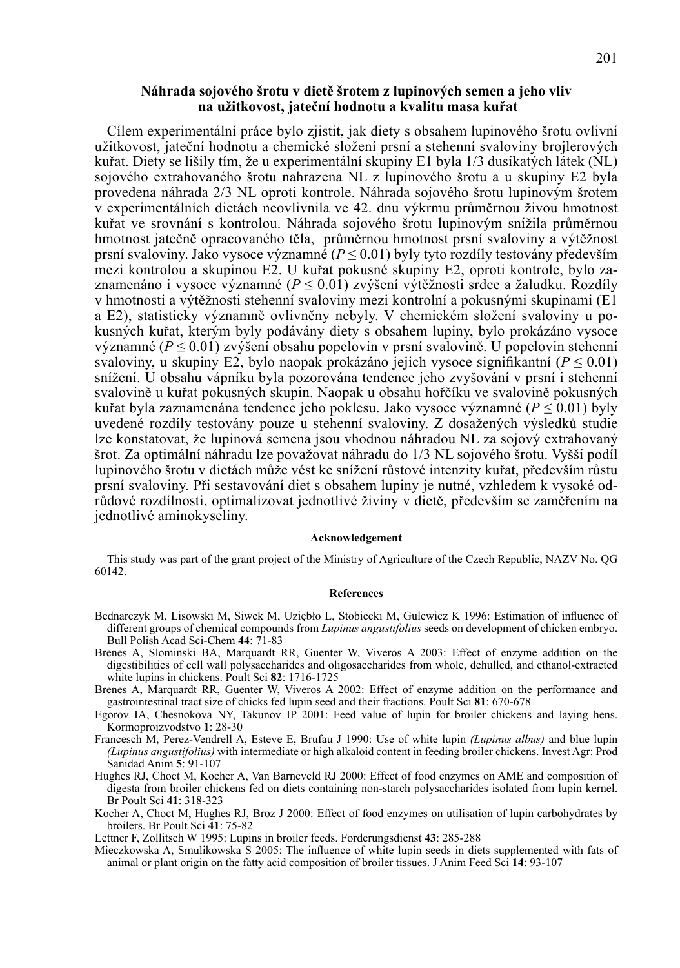## **Náhrada sojového šrotu v dietě šrotem z lupinových semen a jeho vliv na užitkovost, jateční hodnotu a kvalitu masa kuřat**

Cílem experimentální práce bylo zjistit, jak diety s obsahem lupinového šrotu ovlivní užitkovost, jateční hodnotu a chemické složení prsní a stehenní svaloviny brojlerových kuřat. Diety se lišily tím, že u experimentální skupiny E1 byla 1/3 dusíkatých látek (NL) sojového extrahovaného šrotu nahrazena NL z lupinového šrotu a u skupiny E2 byla provedena náhrada 2/3 NL oproti kontrole. Náhrada sojového šrotu lupinovým šrotem v experimentálních dietách neovlivnila ve 42. dnu výkrmu průměrnou živou hmotnost kuřat ve srovnání s kontrolou. Náhrada sojového šrotu lupinovým snížila průměrnou hmotnost jatečně opracovaného těla, průměrnou hmotnost prsní svaloviny a výtěžnost prsní svaloviny. Jako vysoce významné (*P* ≤ 0.01) byly tyto rozdíly testovány především mezi kontrolou a skupinou E2. U kuřat pokusné skupiny E2, oproti kontrole, bylo zaznamenáno i vysoce významné (*P* ≤ 0.01) zvýšení výtěžnosti srdce a žaludku. Rozdíly v hmotnosti a výtěžnosti stehenní svaloviny mezi kontrolní a pokusnými skupinami (E1 a E2), statisticky významně ovlivněny nebyly. V chemickém složení svaloviny u pokusných kuřat, kterým byly podávány diety s obsahem lupiny, bylo prokázáno vysoce významné (*P* ≤ 0.01) zvýšení obsahu popelovin v prsní svalovině. U popelovin stehenní svaloviny, u skupiny E2, bylo naopak prokázáno jejich vysoce signifikantní ( $P \le 0.01$ ) snížení. U obsahu vápníku byla pozorována tendence jeho zvyšování v prsní i stehenní svalovině u kuřat pokusných skupin. Naopak u obsahu hořčíku ve svalovině pokusných kuřat byla zaznamenána tendence jeho poklesu. Jako vysoce významné (*P* ≤ 0.01) byly uvedené rozdíly testovány pouze u stehenní svaloviny. Z dosažených výsledků studie lze konstatovat, že lupinová semena jsou vhodnou náhradou NL za sojový extrahovaný šrot. Za optimální náhradu lze považovat náhradu do 1/3 NL sojového šrotu. Vyšší podíl lupinového šrotu v dietách může vést ke snížení růstové intenzity kuřat, především růstu prsní svaloviny. Při sestavování diet s obsahem lupiny je nutné, vzhledem k vysoké odrůdové rozdílnosti, optimalizovat jednotlivé živiny v dietě, především se zaměřením na jednotlivé aminokyseliny.

### **Acknowledgement**

This study was part of the grant project of the Ministry of Agriculture of the Czech Republic, NAZV No. QG 60142.

### **References**

- Bednarczyk M, Lisowski M, Siwek M, Uziębło L, Stobiecki M, Gulewicz K 1996: Estimation of influence of different groups of chemical compounds from *Lupinus angustifolius* seeds on development of chicken embryo. Bull Polish Acad Sci-Chem **44**: 71-83
- Brenes A, Slominski BA, Marquardt RR, Guenter W, Viveros A 2003: Effect of enzyme addition on the digestibilities of cell wall polysaccharides and oligosaccharides from whole, dehulled, and ethanol-extracted white lupins in chickens. Poult Sci **82**: 1716-1725
- Brenes A, Marquardt RR, Guenter W, Viveros A 2002: Effect of enzyme addition on the performance and gastrointestinal tract size of chicks fed lupin seed and their fractions. Poult Sci **81**: 670-678
- Egorov IA, Chesnokova NY, Takunov IP 2001: Feed value of lupin for broiler chickens and laying hens. Kormoproizvodstvo **1**: 28-30
- Francesch M, Perez-Vendrell A, Esteve E, Brufau J 1990: Use of white lupin *(Lupinus albus)* and blue lupin *(Lupinus angustifolius)* with intermediate or high alkaloid content in feeding broiler chickens. Invest Agr: Prod Sanidad Anim **5**: 91-107
- Hughes RJ, Choct M, Kocher A, Van Barneveld RJ 2000: Effect of food enzymes on AME and composition of digesta from broiler chickens fed on diets containing non-starch polysaccharides isolated from lupin kernel. Br Poult Sci **41**: 318-323
- Kocher A, Choct M, Hughes RJ, Broz J 2000: Effect of food enzymes on utilisation of lupin carbohydrates by broilers. Br Poult Sci **41**: 75-82

Lettner F, Zollitsch W 1995: Lupins in broiler feeds. Forderungsdienst **43**: 285-288

Mieczkowska A, Smulikowska S 2005: The influence of white lupin seeds in diets supplemented with fats of animal or plant origin on the fatty acid composition of broiler tissues. J Anim Feed Sci **14**: 93-107